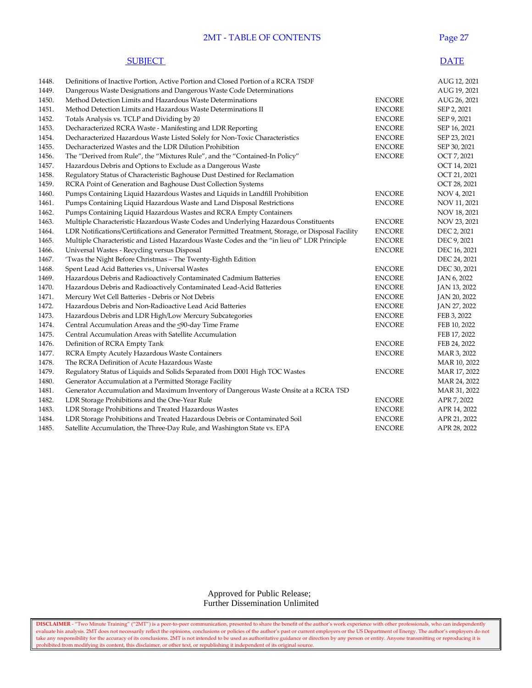### **2MT - TABLE OF CONTENTS** Page 27

#### **SUBJECT** DATE

| 1448. | Definitions of Inactive Portion, Active Portion and Closed Portion of a RCRA TSDF                 |               | AUG 12, 2021 |
|-------|---------------------------------------------------------------------------------------------------|---------------|--------------|
| 1449. | Dangerous Waste Designations and Dangerous Waste Code Determinations                              |               | AUG 19, 2021 |
| 1450. | Method Detection Limits and Hazardous Waste Determinations                                        | <b>ENCORE</b> | AUG 26, 2021 |
| 1451. | Method Detection Limits and Hazardous Waste Determinations II                                     | <b>ENCORE</b> | SEP 2, 2021  |
| 1452. | Totals Analysis vs. TCLP and Dividing by 20                                                       | <b>ENCORE</b> | SEP 9, 2021  |
| 1453. | Decharacterized RCRA Waste - Manifesting and LDR Reporting                                        | <b>ENCORE</b> | SEP 16, 2021 |
| 1454. | Decharacterized Hazardous Waste Listed Solely for Non-Toxic Characteristics                       | <b>ENCORE</b> | SEP 23, 2021 |
| 1455. | Decharacterized Wastes and the LDR Dilution Prohibition                                           | <b>ENCORE</b> | SEP 30, 2021 |
| 1456. | The "Derived from Rule", the "Mixtures Rule", and the "Contained-In Policy"                       | <b>ENCORE</b> | OCT 7, 2021  |
| 1457. | Hazardous Debris and Options to Exclude as a Dangerous Waste                                      |               | OCT 14, 2021 |
| 1458. | Regulatory Status of Characteristic Baghouse Dust Destined for Reclamation                        |               | OCT 21, 2021 |
| 1459. | RCRA Point of Generation and Baghouse Dust Collection Systems                                     |               | OCT 28, 2021 |
| 1460. | Pumps Containing Liquid Hazardous Wastes and Liquids in Landfill Prohibition                      | <b>ENCORE</b> | NOV 4, 2021  |
| 1461. | Pumps Containing Liquid Hazardous Waste and Land Disposal Restrictions                            | <b>ENCORE</b> | NOV 11, 2021 |
| 1462. | Pumps Containing Liquid Hazardous Wastes and RCRA Empty Containers                                |               | NOV 18, 2021 |
| 1463. | Multiple Characteristic Hazardous Waste Codes and Underlying Hazardous Constituents               | <b>ENCORE</b> | NOV 23, 2021 |
| 1464. | LDR Notifications/Certifications and Generator Permitted Treatment, Storage, or Disposal Facility | <b>ENCORE</b> | DEC 2, 2021  |
| 1465. | Multiple Characteristic and Listed Hazardous Waste Codes and the "in lieu of" LDR Principle       | <b>ENCORE</b> | DEC 9, 2021  |
| 1466. | Universal Wastes - Recycling versus Disposal                                                      | <b>ENCORE</b> | DEC 16, 2021 |
| 1467. | 'Twas the Night Before Christmas - The Twenty-Eighth Edition                                      |               | DEC 24, 2021 |
| 1468. | Spent Lead Acid Batteries vs., Universal Wastes                                                   | <b>ENCORE</b> | DEC 30, 2021 |
| 1469. | Hazardous Debris and Radioactively Contaminated Cadmium Batteries                                 | <b>ENCORE</b> | JAN 6, 2022  |
| 1470. | Hazardous Debris and Radioactively Contaminated Lead-Acid Batteries                               | <b>ENCORE</b> | JAN 13, 2022 |
| 1471. | Mercury Wet Cell Batteries - Debris or Not Debris                                                 | <b>ENCORE</b> | JAN 20, 2022 |
| 1472. | Hazardous Debris and Non-Radioactive Lead Acid Batteries                                          | <b>ENCORE</b> | JAN 27, 2022 |
| 1473. | Hazardous Debris and LDR High/Low Mercury Subcategories                                           | <b>ENCORE</b> | FEB 3, 2022  |
| 1474. | Central Accumulation Areas and the <90-day Time Frame                                             | <b>ENCORE</b> | FEB 10, 2022 |
| 1475. | Central Accumulation Areas with Satellite Accumulation                                            |               | FEB 17, 2022 |
| 1476. | Definition of RCRA Empty Tank                                                                     | <b>ENCORE</b> | FEB 24, 2022 |
| 1477. | RCRA Empty Acutely Hazardous Waste Containers                                                     | <b>ENCORE</b> | MAR 3, 2022  |
| 1478. | The RCRA Definition of Acute Hazardous Waste                                                      |               | MAR 10, 2022 |
| 1479. | Regulatory Status of Liquids and Solids Separated from D001 High TOC Wastes                       | <b>ENCORE</b> | MAR 17, 2022 |
| 1480. | Generator Accumulation at a Permitted Storage Facility                                            |               | MAR 24, 2022 |
| 1481. | Generator Accumulation and Maximum Inventory of Dangerous Waste Onsite at a RCRA TSD              |               | MAR 31, 2022 |
| 1482. | LDR Storage Prohibitions and the One-Year Rule                                                    | <b>ENCORE</b> | APR 7, 2022  |
| 1483. | LDR Storage Prohibitions and Treated Hazardous Wastes                                             | <b>ENCORE</b> | APR 14, 2022 |
| 1484. | LDR Storage Prohibitions and Treated Hazardous Debris or Contaminated Soil                        | <b>ENCORE</b> | APR 21, 2022 |
| 1485. | Satellite Accumulation, the Three-Day Rule, and Washington State vs. EPA                          | <b>ENCORE</b> | APR 28, 2022 |

#### Approved for Public Release; Further Dissemination Unlimited

**DISCLAIMER** - "Two Minute Training" ("2MT") is a peer-to-peer communication, presented to share the benefit of the author's work experience with other professionals, who can independently evaluate his analysis. 2MT does not necessarily reflect the opinions, conclusions or policies of the author's past or current employers or the US Department of Energy. The author's employers do not take any responsibility for the accuracy of its conclusions. 2MT is not intended to be used as authoritative guidance or direction by any person or entity. Anyone transmitting or reproducing it is prohibited from modifying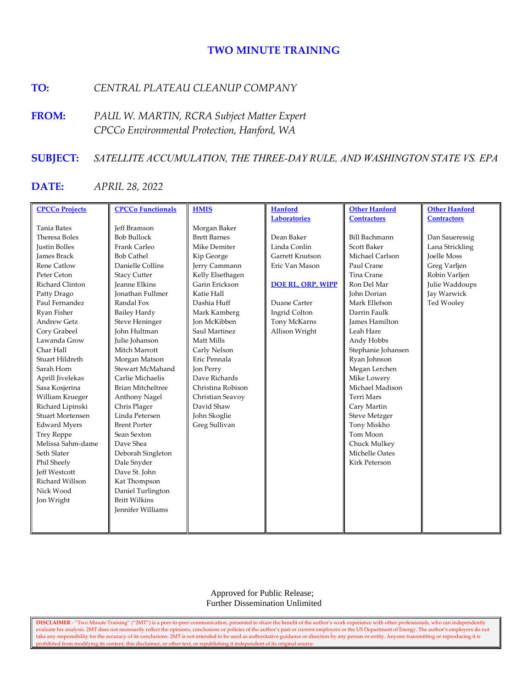### **TWO MINUTE TRAINING**

## **TO:** *CENTRAL PLATEAU CLEANUP COMPANY*

**FROM:** *PAUL W. MARTIN, RCRA Subject Matter Expert CPCCo Environmental Protection, Hanford, WA*

#### **SUBJECT:** *SATELLITE ACCUMULATION, THE THREE-DAY RULE, AND WASHINGTON STATE VS. EPA*

# **DATE:** *APRIL 28, 2022*

| <b>CPCCo Projects</b>   | <b>CPCCo Functionals</b> | <b>HMIS</b>         | <b>Hanford</b>      | <b>Other Hanford</b>  | <b>Other Hanford</b> |
|-------------------------|--------------------------|---------------------|---------------------|-----------------------|----------------------|
|                         |                          |                     | <b>Laboratories</b> | <b>Contractors</b>    | <b>Contractors</b>   |
| <b>Tania Bates</b>      | <b>Jeff Bramson</b>      | Morgan Baker        |                     |                       |                      |
| Theresa Boles           | <b>Bob Bullock</b>       | <b>Brett Barnes</b> | Dean Baker          | <b>Bill Bachmann</b>  | Dan Saueressig       |
| <b>Justin Bolles</b>    | Frank Carleo             | Mike Demiter        | Linda Conlin        | <b>Scott Baker</b>    | Lana Strickling      |
| <b>James Brack</b>      | <b>Bob Cathel</b>        | Kip George          | Garrett Knutson     | Michael Carlson       | <b>Joelle Moss</b>   |
| <b>Rene Catlow</b>      | Danielle Collins         | Jerry Cammann       | Eric Van Mason      | Paul Crane            | Greg Varljen         |
| Peter Ceton             | <b>Stacy Cutter</b>      | Kelly Elsethagen    |                     | Tina Crane            | Robin Varljen        |
| Richard Clinton         | <b>Jeanne Elkins</b>     | Garin Erickson      | DOE RL, ORP, WIPP   | Ron Del Mar           | Julie Waddoups       |
| Patty Drago             | <b>Ionathan Fullmer</b>  | Katie Hall          |                     | <b>John Dorian</b>    | Jay Warwick          |
| Paul Fernandez          | Randal Fox               | Dashia Huff         | Duane Carter        | Mark Ellefson         | Ted Wooley           |
| Ryan Fisher             | <b>Bailey Hardy</b>      | Mark Kamberg        | Ingrid Colton       | Darrin Faulk          |                      |
| <b>Andrew Getz</b>      | Steve Heninger           | <b>Jon McKibben</b> | Tony McKarns        | <b>James Hamilton</b> |                      |
| Cory Grabeel            | John Hultman             | Saul Martinez       | Allison Wright      | Leah Hare             |                      |
| Lawanda Grow            | Julie Johanson           | Matt Mills          |                     | Andy Hobbs            |                      |
| Char Hall               | Mitch Marrott            | Carly Nelson        |                     | Stephanie Johansen    |                      |
| Stuart Hildreth         | Morgan Matson            | Eric Pennala        |                     | Ryan Johnson          |                      |
| Sarah Horn              | Stewart McMahand         | Jon Perry           |                     | Megan Lerchen         |                      |
| Aprill Jivelekas        | Carlie Michaelis         | Dave Richards       |                     | Mike Lowery           |                      |
| Sasa Kosjerina          | <b>Brian Mitcheltree</b> | Christina Robison   |                     | Michael Madison       |                      |
| William Krueger         | Anthony Nagel            | Christian Seavoy    |                     | <b>Terri Mars</b>     |                      |
| Richard Lipinski        | Chris Plager             | David Shaw          |                     | Cary Martin           |                      |
| <b>Stuart Mortensen</b> | Linda Petersen           | John Skoglie        |                     | <b>Steve Metzger</b>  |                      |
| <b>Edward Myers</b>     | <b>Brent Porter</b>      | Greg Sullivan       |                     | Tony Miskho           |                      |
| <b>Trey Reppe</b>       | Sean Sexton              |                     |                     | Tom Moon              |                      |
| Melissa Sahm-dame       | Dave Shea                |                     |                     | Chuck Mulkey          |                      |
| Seth Slater             | Deborah Singleton        |                     |                     | Michelle Oates        |                      |
| Phil Sheely             | Dale Snyder              |                     |                     | Kirk Peterson         |                      |
| <b>Jeff Westcott</b>    | Dave St. John            |                     |                     |                       |                      |
| Richard Willson         | Kat Thompson             |                     |                     |                       |                      |
| Nick Wood               | Daniel Turlington        |                     |                     |                       |                      |
| Jon Wright              | <b>Britt Wilkins</b>     |                     |                     |                       |                      |
|                         | Jennifer Williams        |                     |                     |                       |                      |
|                         |                          |                     |                     |                       |                      |
|                         |                          |                     |                     |                       |                      |

 Approved for Public Release; Further Dissemination Unlimited

**DISCLAIMER** - "Two Minute Training" ("2MT") is a peer-to-peer communication, presented to share the benefit of the author's work experience with other professionals, who can independently evaluate his analysis. 2MT does not necessarily reflect the opinions, conclusions or policies of the author's past or current employers or the US Department of Energy. The author's employers do not take any responsibility for the accuracy of its conclusions. 2MT is not intended to be used as authoritative guidance or direction by any person or entity. Anyone transmitting or reproducing it is prohibited from modifying its content, this disclaimer, or other text, or republishing it independent of its original source.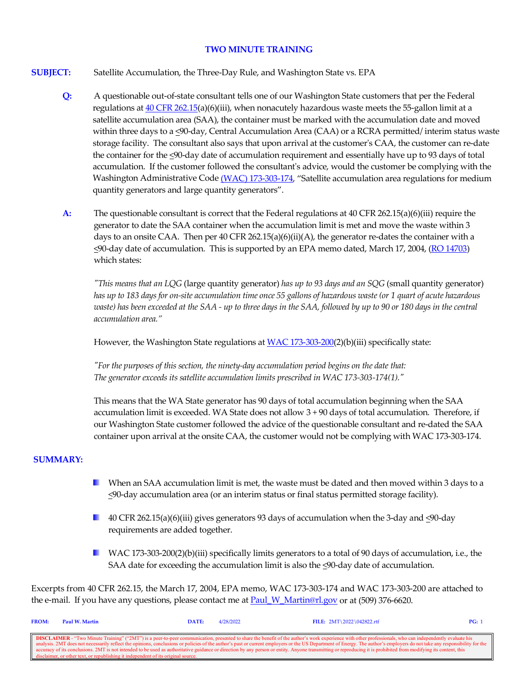#### **TWO MINUTE TRAINING**

- **SUBJECT:** Satellite Accumulation, the Three-Day Rule, and Washington State vs. EPA
	- **Q:** A questionable out-of-state consultant tells one of our Washington State customers that per the Federal regulations at  $40$  CFR 262.15(a)(6)(iii), when nonacutely hazardous waste meets the 55-gallon limit at a satellite accumulation area (SAA), the container must be marked with the accumulation date and moved within three days to a <90-day, Central Accumulation Area (CAA) or a RCRA permitted/ interim status waste storage facility. The consultant also says that upon arrival at the customer's CAA, the customer can re-date the container for the <90-day date of accumulation requirement and essentially have up to 93 days of total accumulation. If the customer followed the consultant's advice, would the customer be complying with the Washington Administrative Cod[e \(WAC\) 173-303-174,](https://app.leg.wa.gov/WAC/default.aspx?cite=173-303-174) "Satellite accumulation area regulations for medium quantity generators and large quantity generators".
	- **A:** The questionable consultant is correct that the Federal regulations at 40 CFR 262.15(a)(6)(iii) require the generator to date the SAA container when the accumulation limit is met and move the waste within 3 days to an onsite CAA. Then per 40 CFR 262.15(a)(6)(ii)(A), the generator re-dates the container with a <90-day date of accumulation. This is supported by an EPA memo dated, March 17, 2004, [\(RO 14703\)](https://rcrapublic.epa.gov/rcraonline/details.xhtml?rcra=14703) which states:

*"This means that an LQG* (large quantity generator) *has up to 93 days and an SQG* (small quantity generator) *has up to 183 days for on-site accumulation time once 55 gallons of hazardous waste (or 1 quart of acute hazardous waste) has been exceeded at the SAA - up to three days in the SAA, followed by up to 90 or 180 days in the central accumulation area."*

However, the Washington State regulations a[t WAC 173-303-200\(](https://app.leg.wa.gov/WAC/default.aspx?cite=173-303-200)2)(b)(iii) specifically state:

*"For the purposes of this section, the ninety-day accumulation period begins on the date that: The generator exceeds its satellite accumulation limits prescribed in WAC 173-303-174(1)."*

This means that the WA State generator has 90 days of total accumulation beginning when the SAA accumulation limit is exceeded. WA State does not allow 3 + 90 days of total accumulation. Therefore, if our Washington State customer followed the advice of the questionable consultant and re-dated the SAA container upon arrival at the onsite CAA, the customer would not be complying with WAC 173-303-174.

#### **SUMMARY:**

- **L** When an SAA accumulation limit is met, the waste must be dated and then moved within 3 days to a <90-day accumulation area (or an interim status or final status permitted storage facility).
- 40 CFR 262.15(a)(6)(iii) gives generators 93 days of accumulation when the 3-day and  $\leq$ 90-day requirements are added together.
- WAC 173-303-200(2)(b)(iii) specifically limits generators to a total of 90 days of accumulation, i.e., the SAA date for exceeding the accumulation limit is also the  $\leq$ 90-day date of accumulation.

Excerpts from 40 CFR 262.15, the March 17, 2004, EPA memo, WAC 173-303-174 and WAC 173-303-200 are attached to the e-mail. If you have any questions, please contact me at Paul W\_Martin@rl.gov or at (509) 376-6620.

| <b>FROM:</b> | Paul W. Martin                                                                    | DATE: | 4/28/2022 | FILE: 2MT\2022\042822.rtf                                                                                                                                                                                                | PG: |
|--------------|-----------------------------------------------------------------------------------|-------|-----------|--------------------------------------------------------------------------------------------------------------------------------------------------------------------------------------------------------------------------|-----|
|              |                                                                                   |       |           |                                                                                                                                                                                                                          |     |
|              |                                                                                   |       |           | <b>DISCLAIMER</b> - "Two Minute Training" ("2MT") is a peer-to-peer communication, presented to share the benefit of the author's work experience with other professionals, who can independently evaluate his           |     |
|              |                                                                                   |       |           | analysis. 2MT does not necessarily reflect the opinions, conclusions or policies of the author's past or current employers or the US Department of Energy. The author's employers do not take any responsibility for the |     |
|              |                                                                                   |       |           | cecuracy of its conclusions. 2MT is not intended to be used as authoritative guidance or direction by any person or entity. Anyone transmitting or reproducing it is prohibited from modifying its content, this         |     |
|              | disclaimer, or other text, or republishing it independent of its original source. |       |           |                                                                                                                                                                                                                          |     |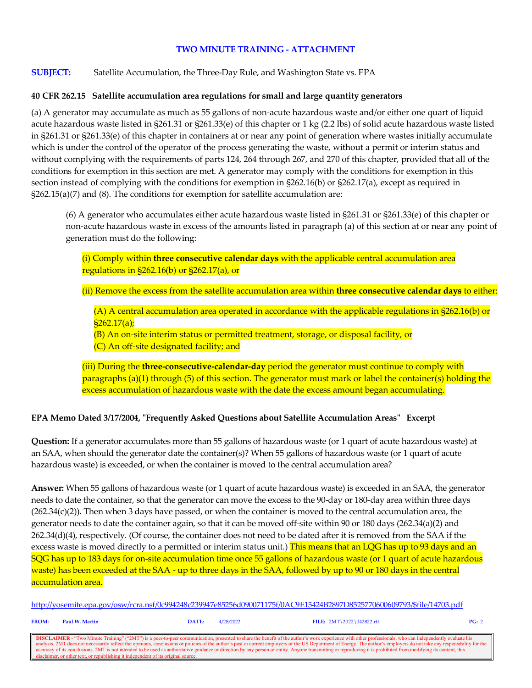#### **TWO MINUTE TRAINING - ATTACHMENT**

**SUBJECT:** Satellite Accumulation, the Three-Day Rule, and Washington State vs. EPA

#### **40 CFR 262.15 Satellite accumulation area regulations for small and large quantity generators**

(a) A generator may accumulate as much as 55 gallons of non-acute hazardous waste and/or either one quart of liquid acute hazardous waste listed in §261.31 or §261.33(e) of this chapter or 1 kg (2.2 lbs) of solid acute hazardous waste listed in §261.31 or §261.33(e) of this chapter in containers at or near any point of generation where wastes initially accumulate which is under the control of the operator of the process generating the waste, without a permit or interim status and without complying with the requirements of parts 124, 264 through 267, and 270 of this chapter, provided that all of the conditions for exemption in this section are met. A generator may comply with the conditions for exemption in this section instead of complying with the conditions for exemption in §262.16(b) or §262.17(a), except as required in §262.15(a)(7) and (8). The conditions for exemption for satellite accumulation are:

(6) A generator who accumulates either acute hazardous waste listed in §261.31 or §261.33(e) of this chapter or non-acute hazardous waste in excess of the amounts listed in paragraph (a) of this section at or near any point of generation must do the following:

(i) Comply within **three consecutive calendar days** with the applicable central accumulation area regulations in §262.16(b) or §262.17(a), or

(ii) Remove the excess from the satellite accumulation area within **three consecutive calendar days** to either:

(A) A central accumulation area operated in accordance with the applicable regulations in §262.16(b) or  $$262.17(a);$ 

(B) An on-site interim status or permitted treatment, storage, or disposal facility, or

(C) An off-site designated facility; and

(iii) During the **three-consecutive-calendar-day** period the generator must continue to comply with paragraphs (a)(1) through (5) of this section. The generator must mark or label the container(s) holding the excess accumulation of hazardous waste with the date the excess amount began accumulating.

#### **EPA Memo Dated 3/17/2004, "Frequently Asked Questions about Satellite Accumulation Areas" Excerpt**

**Question:** If a generator accumulates more than 55 gallons of hazardous waste (or 1 quart of acute hazardous waste) at an SAA, when should the generator date the container(s)? When 55 gallons of hazardous waste (or 1 quart of acute hazardous waste) is exceeded, or when the container is moved to the central accumulation area?

**Answer:** When 55 gallons of hazardous waste (or 1 quart of acute hazardous waste) is exceeded in an SAA, the generator needs to date the container, so that the generator can move the excess to the 90-day or 180-day area within three days  $(262.34(c)(2))$ . Then when 3 days have passed, or when the container is moved to the central accumulation area, the generator needs to date the container again, so that it can be moved off-site within 90 or 180 days (262.34(a)(2) and 262.34(d)(4), respectively. (Of course, the container does not need to be dated after it is removed from the SAA if the excess waste is moved directly to a permitted or interim status unit.) This means that an LQG has up to 93 days and an SQG has up to 183 days for on-site accumulation time once 55 gallons of hazardous waste (or 1 quart of acute hazardous waste) has been exceeded at the SAA - up to three days in the SAA, followed by up to 90 or 180 days in the central <mark>accumulation area.</mark>

[http://yosemite.epa.gov/osw/rcra.nsf/0c994248c239947e85256d090071175f/0AC9E15424B2897D8525770600609793/\\$file/14703.pdf](http://yosemite.epa.gov/osw/rcra.nsf/0c994248c239947e85256d090071175f/0AC9E15424B2897D8525770600609793/$file/14703.pdf)

**FROM: Paul W. Martin DATE:** 4/28/2022 **FILE:** 2MT\2022\042822.rtf **PG:** 2

**DISCLAIMER** - "Two Minute Training" ("2MT") is a peer-to-peer communication, presented to share the benefit of the author's work experience with other professionals, who can independently evaluate his analysis. 2MT does n accuracy of its conclusions. 2MT is not intended to be used as authoritative guidance or direction by any person or entity. Anyone transmitting or reproducing it is prohibited from modifying its content, this disclaimer, or other text, or republishing it independent of its original source.